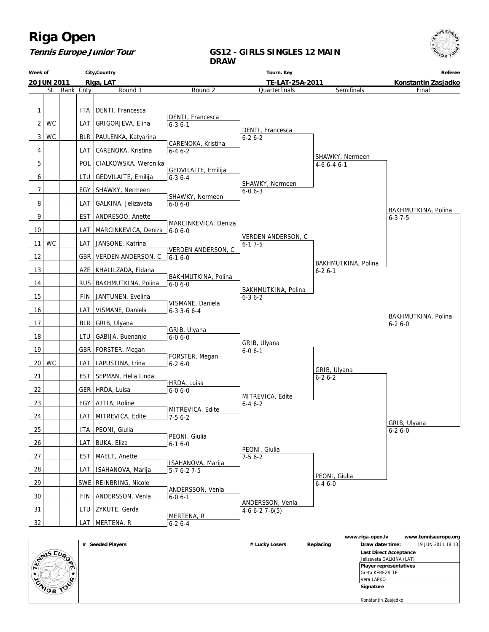

### **Tennis Europe Junior Tour**

### **GS12 - GIRLS SINGLES 12 MAIN DRAW**

| Week of         |                    |           |       | City, Country                |                                     | Tourn. Key                          |                                     | Referee             |
|-----------------|--------------------|-----------|-------|------------------------------|-------------------------------------|-------------------------------------|-------------------------------------|---------------------|
|                 | <b>20 JUN 2011</b> |           |       | Riga, LAT                    |                                     | TE-LAT-25A-2011                     |                                     | Konstantin Zasjadko |
|                 | St.                | Rank Cnty |       | Round 1                      | Round 2                             | Quarterfinals                       | Semifinals                          | Final               |
| 1               |                    |           |       | ITA   DENTI, Francesca       |                                     |                                     |                                     |                     |
|                 |                    |           |       |                              | DENTI, Francesca                    |                                     |                                     |                     |
| 2               | <b>WC</b>          |           |       | LAT   GRIGORJEVA, Elina      | $6 - 36 - 1$                        | DENTI, Francesca                    |                                     |                     |
| 3               | <b>WC</b>          |           |       | BLR   PAULENKA, Katyarina    | CARENOKA, Kristina                  | $6 - 26 - 2$                        |                                     |                     |
| 4               |                    |           |       | LAT   CARENOKA, Kristina     | $6 - 46 - 2$                        |                                     |                                     |                     |
| 5               |                    |           |       | POL CIALKOWSKA, Weronika     |                                     |                                     | SHAWKY, Nermeen<br>$4-66-46-1$      |                     |
| 6               |                    |           |       | LTU   GEDVILAITE, Emilija    | GEDVILAITE, Emilija<br>$6 - 36 - 4$ |                                     |                                     |                     |
| 7               |                    |           |       | EGY   SHAWKY, Nermeen        |                                     | SHAWKY, Nermeen<br>$6 - 06 - 3$     |                                     |                     |
|                 |                    |           |       |                              | SHAWKY, Nermeen                     |                                     |                                     |                     |
| 8               |                    |           |       | LAT   GALKINA, Jelizaveta    | $6 - 06 - 0$                        |                                     |                                     | BAKHMUTKINA, Polina |
| 9               |                    |           |       | EST   ANDRESOO, Anette       | MARCINKEVICA, Deniza                |                                     |                                     | $6 - 37 - 5$        |
| 10              |                    |           | LAT   | MARCINKEVICA, Deniza 6-0 6-0 |                                     | VERDEN ANDERSON, C                  |                                     |                     |
| 11              | <b>WC</b>          |           |       | LAT   JANSONE, Katrina       | <b>VERDEN ANDERSON, C</b>           | $6-17-5$                            |                                     |                     |
| 12              |                    |           |       | GBR   VERDEN ANDERSON, C     | $6 - 16 - 0$                        |                                     |                                     |                     |
| 13              |                    |           |       | AZE   KHALILZADA, Fidana     |                                     |                                     | BAKHMUTKINA, Polina<br>$6 - 26 - 1$ |                     |
| 14              |                    |           |       | RUS   BAKHMUTKINA, Polina    | BAKHMUTKINA, Polina<br>$6 - 06 - 0$ |                                     |                                     |                     |
| 15              |                    |           |       | FIN JANTUNEN, Evelina        |                                     | BAKHMUTKINA, Polina<br>$6 - 36 - 2$ |                                     |                     |
|                 |                    |           |       |                              | VISMANE, Daniela                    |                                     |                                     |                     |
| 16              |                    |           |       | LAT   VISMANE, Daniela       | $6 - 3$ 3 - 6 $6 - 4$               |                                     |                                     | BAKHMUTKINA, Polina |
| 17              |                    |           |       | BLR GRIB, Ulyana             | GRIB, Ulyana                        |                                     |                                     | $6 - 26 - 0$        |
| 18              |                    |           |       | LTU   GABIJA, Buenanjo       | $6 - 06 - 0$                        | GRIB, Ulyana                        |                                     |                     |
| 19              |                    |           |       | GBR   FORSTER, Megan         |                                     | $6 - 0 6 - 1$                       |                                     |                     |
| 20 <sub>1</sub> | WC                 |           |       | LAT   LAPUSTINA, Irina       | FORSTER, Megan<br>$6 - 26 - 0$      |                                     |                                     |                     |
| 21              |                    |           |       | EST   SEPMAN, Hella Linda    |                                     |                                     | GRIB, Ulyana<br>$6 - 26 - 2$        |                     |
| 22              |                    |           |       | GER   HRDA, Luisa            | HRDA, Luisa<br>$6 - 06 - 0$         |                                     |                                     |                     |
| 23              |                    |           |       | EGY   ATTIA, Roline          |                                     | MITREVICA, Edite<br>$6 - 46 - 2$    |                                     |                     |
|                 |                    |           |       | LAT MITREVICA, Edite         | MITREVICA, Edite                    |                                     |                                     |                     |
| 24              |                    |           |       |                              | $7-56-2$                            |                                     |                                     | GRIB, Ulyana        |
| 25              |                    |           |       | ITA PEONI, Giulia            | PEONI, Giulia                       |                                     |                                     | $6 - 26 - 0$        |
| 26              |                    |           |       | LAT   BUKA, Eliza            | $6 - 16 - 0$                        | PEONI, Giulia                       |                                     |                     |
| 27              |                    |           |       | EST   MAELT, Anette          | ISAHANOVA, Marija                   | $7-56-2$                            |                                     |                     |
| 28              |                    |           | LAT I | ISAHANOVA, Marija            | $5-76-27-5$                         |                                     |                                     |                     |
| 29              |                    |           |       | SWE   REINBRING, Nicole      |                                     |                                     | PEONI, Giulia<br>$6 - 46 - 0$       |                     |
| 30              |                    |           |       | FIN ANDERSSON, Venla         | ANDERSSON, Venla<br>$6 - 06 - 1$    |                                     |                                     |                     |
| 31              |                    |           |       | LTU   ZYKUTE, Gerda          |                                     | ANDERSSON, Venla<br>$4-66-27-6(5)$  |                                     |                     |
| 32              |                    |           |       | LAT MERTENA, R               | MERTENA, R<br>$6 - 26 - 4$          |                                     |                                     |                     |

|                  |                  |                |           | www.riga-open.lv         | www.tenniseurope.org |
|------------------|------------------|----------------|-----------|--------------------------|----------------------|
|                  | # Seeded Players | # Lucky Losers | Replacing | Draw date/time:          | 19 JUN 2011 18:13    |
| <b>STAIS EUP</b> |                  |                |           | Last Direct Acceptance   |                      |
| ∙                |                  |                |           | Jelizaveta GALKINA (LAT) |                      |
| $\mathbf{u}$     |                  |                |           | Player representatives   |                      |
|                  |                  |                |           | l Greta KEREZAITE        |                      |
| c                |                  |                |           | Vera LAPKO               |                      |
| <b>CAIOR TON</b> |                  |                |           | Signature                |                      |
|                  |                  |                |           |                          |                      |
|                  |                  |                |           | Konstantin Zasjadko      |                      |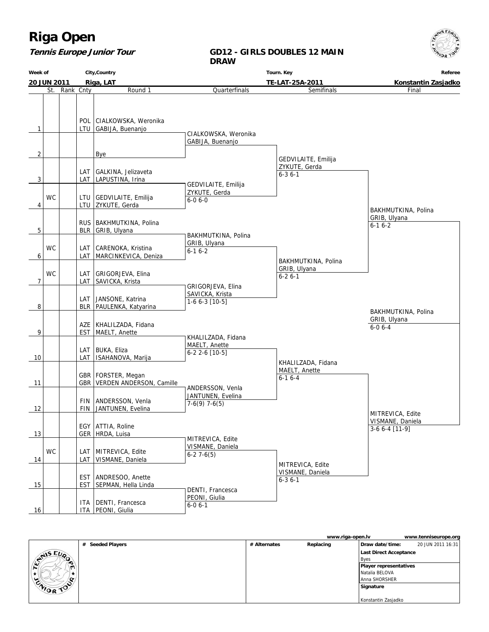### **Tennis Europe Junior Tour**

#### **GD12 - GIRLS DOUBLES 12 MAIN DRAW**

**Week of 20 JUN 2011 City,Country Riga, LAT Tourn. Key TE-LAT-25A-2011 Referee Konstantin Zasjadko** St. Rank Cnty **Round 1**  $1$  | LTU POL CIALKOWSKA, Weronika GABIJA, Buenanjo  $2$  | | | | Bye  $3$  LAT LAT GALKINA, Jelizaveta LAPUSTINA, Irina 4 WC LTU LTU GEDVILAITE, Emilija ZYKUTE, Gerda  $5$  | | BLR RUS BAKHMUTKINA, Polina GRIB, Ulyana 6 **WC** LAT LAT CARENOKA, Kristina MARCINKEVICA, Deniza 7 WC LAT LAT GRIGORJEVA, Elina SAVICKA, Krista 8 | BLR LAT JANSONE, Katrina PAULENKA, Katyarina 9 | EST AZE KHALILZADA, Fidana MAELT, Anette 10 | LAT LAT BUKA, Eliza ISAHANOVA, Marija 11 | GBR GBR | FORSTER, Megan VERDEN ANDERSON, Camille  $12$  FIN FIN ANDERSSON, Venla JANTUNEN, Evelina 13 | GER EGY ATTIA, Roline HRDA, Luisa 14 WC LAT LAT MITREVICA, Edite VISMANE, Daniela  $15$   $\vert$   $\vert$  EST EST ANDRESOO, Anette SEPMAN, Hella Linda 16 ITA PEONI, Giulia ITA | DENTI, Francesca **Quarterfinals**  CIALKOWSKA, Weronika GABIJA, Buenanjo GEDVILAITE, Emilija ZYKUTE, Gerda 6-0 6-0 BAKHMUTKINA, Polina GRIB, Ulyana 6-1 6-2 GRIGORJEVA, Elina SAVICKA, Krista  $1-6$  6-3  $[10-5]$  KHALILZADA, Fidana MAELT, Anette 6-2 2-6 [10-5] ANDERSSON, Venla JANTUNEN, Evelina  $7-6(9)$  7-6(5) MITREVICA, Edite VISMANE, Daniela 6-2 7-6(5) DENTI, Francesca PEONI, Giulia 6-0 6-1 Semifinals GEDVILAITE, Emilija ZYKUTE, Gerda 6-3 6-1 BAKHMUTKINA, Polina GRIB, Ulyana 6-2 6-1 KHALILZADA, Fidana MAELT, Anette 6-1 6-4 MITREVICA, Edite VISMANE, Daniela 6-3 6-1 Final BAKHMUTKINA, Polina GRIB, Ulyana 6-1 6-2 MITREVICA, Edite VISMANE, Daniela 3-6 6-4 [11-9] BAKHMUTKINA, Polina GRIB, Ulyana 6-0 6-4

|                  |                            |              | www.riga-open.lv |                               | www.tenniseurope.org |
|------------------|----------------------------|--------------|------------------|-------------------------------|----------------------|
|                  | <b>Seeded Players</b><br># | # Alternates | Replacing        | Draw date/time:               | 20 JUN 2011 16:31    |
| <b>EVAIS EUP</b> |                            |              |                  | Last Direct Acceptance        |                      |
|                  |                            |              |                  | <b>Byes</b>                   |                      |
| $\bullet$        |                            |              |                  | <b>Player representatives</b> |                      |
|                  |                            |              |                  | Natalia BELOVA                |                      |
| $\sim$<br>ے      |                            |              |                  | l Anna SHORSHER               |                      |
| UNIOR TOO        |                            |              |                  | Signature                     |                      |
|                  |                            |              |                  |                               |                      |
|                  |                            |              |                  | Konstantin Zasjadko           |                      |

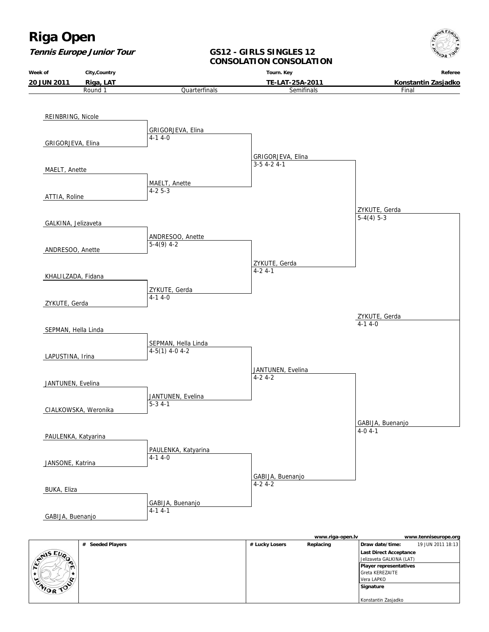**Week of**

**Tennis Europe Junior Tour**

**City,Country**



#### **GS12 - GIRLS SINGLES 12 CONSOLATION CONSOLATION**

**Tourn. Key**

**Referee**



|                  |                  |                | www.riga-open.lv |                               | www.tenniseurope.org |
|------------------|------------------|----------------|------------------|-------------------------------|----------------------|
|                  | # Seeded Players | # Lucky Losers | Replacing        | Draw date/time:               | 19 JUN 2011 18:13    |
| <b>SANSEUP</b>   |                  |                |                  | Last Direct Acceptance        |                      |
| ∙                |                  |                |                  | Jelizaveta GALKINA (LAT)      |                      |
| $\mathbf{u}$     |                  |                |                  | <b>Player representatives</b> |                      |
|                  |                  |                |                  | Greta KEREZAITE               |                      |
| c<br>پ           |                  |                |                  | l Vera LAPKO                  |                      |
| <b>CAIOR TOP</b> |                  |                |                  | Signature                     |                      |
|                  |                  |                |                  |                               |                      |
|                  |                  |                |                  | Konstantin Zasjadko           |                      |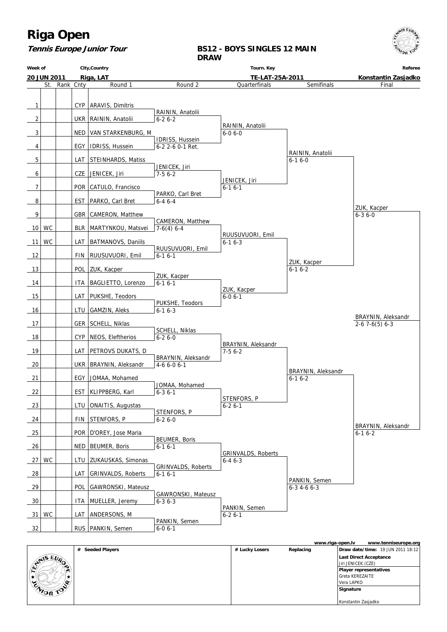

**Tennis Europe Junior Tour**

### **BS12 - BOYS SINGLES 12 MAIN DRAW**

| Week of        |             |            | City, Country             |                                 | Tourn. Key                |                     | Referee                     |
|----------------|-------------|------------|---------------------------|---------------------------------|---------------------------|---------------------|-----------------------------|
|                | 20 JUN 2011 |            | Riga, LAT                 |                                 | TE-LAT-25A-2011           |                     | Konstantin Zasjadko         |
|                | St.         | Rank Cnty  | Round 1                   | Round 2                         | Quarterfinals             | Semifinals          | Final                       |
|                |             |            |                           |                                 |                           |                     |                             |
|                |             |            |                           |                                 |                           |                     |                             |
| $\mathbf{1}$   |             |            | CYP   ARAVIS, Dimitris    | RAININ, Anatolii                |                           |                     |                             |
| $\overline{2}$ |             |            | UKR   RAININ, Anatolii    | $6 - 26 - 2$                    |                           |                     |                             |
|                |             |            |                           |                                 | RAININ, Anatolii          |                     |                             |
| 3              |             | NED        | VAN STARKENBURG, M        |                                 | $6 - 06 - 0$              |                     |                             |
|                |             |            |                           | <b>IDRISS, Hussein</b>          |                           |                     |                             |
| 4              |             |            | EGY   IDRISS, Hussein     | 6-2 2-6 0-1 Ret.                |                           |                     |                             |
|                |             |            |                           |                                 |                           | RAININ, Anatolii    |                             |
| 5              |             | LAT        | STEINHARDS, Matiss        | JENICEK, Jiri                   |                           | $6 - 16 - 0$        |                             |
| 6              |             |            | CZE JENICEK, Jiri         | $7-56-2$                        |                           |                     |                             |
|                |             |            |                           |                                 | JENICEK, Jiri             |                     |                             |
| 7              |             |            | POR   CATULO, Francisco   |                                 | $6 - 16 - 1$              |                     |                             |
|                |             |            |                           | PARKO, Carl Bret                |                           |                     |                             |
| 8              |             | <b>EST</b> | PARKO, Carl Bret          | $6 - 46 - 4$                    |                           |                     |                             |
| 9              |             |            | GBR   CAMERON, Matthew    |                                 |                           |                     | ZUK, Kacper<br>$6 - 36 - 0$ |
|                |             |            |                           | CAMERON, Matthew                |                           |                     |                             |
|                | $10$ WC     |            | BLR   MARTYNKOU, Matsvei  | $7-6(4)$ 6-4                    |                           |                     |                             |
|                |             |            |                           |                                 | RUUSUVUORI, Emil          |                     |                             |
| 11             | <b>WC</b>   | LAT        | <b>BATMANOVS, Daniils</b> |                                 | $6 - 16 - 3$              |                     |                             |
|                |             |            |                           | RUUSUVUORI, Emil                |                           |                     |                             |
| 12             |             |            | FIN   RUUSUVUORI, Emil    | $6 - 16 - 1$                    |                           | ZUK, Kacper         |                             |
| 13             |             |            | POL   ZUK, Kacper         |                                 |                           | $6 - 16 - 2$        |                             |
|                |             |            |                           | ZUK, Kacper                     |                           |                     |                             |
| 14             |             | ITA        | BAGLIETTO, Lorenzo        | $6 - 16 - 1$                    |                           |                     |                             |
|                |             |            |                           |                                 | ZUK, Kacper               |                     |                             |
| 15             |             | LAT        | PUKSHE, Teodors           |                                 | $6 - 06 - 1$              |                     |                             |
| 16             |             | LTU        | GAMZIN, Aleks             | PUKSHE, Teodors<br>$6 - 16 - 3$ |                           |                     |                             |
|                |             |            |                           |                                 |                           |                     | BRAYNIN, Aleksandr          |
| 17             |             |            | GER   SCHELL, Niklas      |                                 |                           |                     | $2-67-6(5)6-3$              |
|                |             |            |                           | SCHELL, Niklas                  |                           |                     |                             |
| 18             |             | CYP        | NEOS, Eleftherios         | $6 - 26 - 0$                    |                           |                     |                             |
| 19             |             |            | PETROVS DUKATS, D         |                                 | BRAYNIN, Aleksandr        |                     |                             |
|                |             | LAT        |                           | BRAYNIN, Aleksandr              | $7-56-2$                  |                     |                             |
| 20             |             |            | UKR   BRAYNIN, Aleksandr  | 4-6 6-0 6-1                     |                           |                     |                             |
|                |             |            |                           |                                 |                           | BRAYNIN, Aleksandr  |                             |
| 21             |             |            | EGY   JOMAA, Mohamed      |                                 |                           | $6-16-2$            |                             |
|                |             |            |                           | JOMAA, Mohamed                  |                           |                     |                             |
| 22             |             |            | EST   KLIPPBERG, Karl     | $6 - 36 - 1$                    | STENFORS, P               |                     |                             |
| 23             |             |            | LTU   ONAITIS, Augustas   |                                 | $6 - 26 - 1$              |                     |                             |
|                |             |            |                           | STENFORS, P                     |                           |                     |                             |
| 24             |             |            | FIN STENFORS, P           | $6 - 26 - 0$                    |                           |                     |                             |
|                |             |            |                           |                                 |                           |                     | BRAYNIN, Aleksandr          |
| 25             |             |            | POR   D'OREY, Jose Maria  |                                 |                           |                     | $6-16-2$                    |
| 26             |             | NED        | BEUMER, Boris             | BEUMER, Boris<br>$6-16-1$       |                           |                     |                             |
|                |             |            |                           |                                 | <b>GRINVALDS, Roberts</b> |                     |                             |
| 27             | <b>WC</b>   |            | LTU ZUKAUSKAS, Simonas    |                                 | $6 - 46 - 3$              |                     |                             |
|                |             |            |                           | GRINVALDS, Roberts              |                           |                     |                             |
| 28             |             | LAT        | <b>GRINVALDS, Roberts</b> | $6-16-1$                        |                           |                     |                             |
|                |             |            |                           |                                 |                           | PANKIN, Semen       |                             |
| 29             |             | <b>POL</b> | GAWRONSKI, Mateusz        | GAWRONSKI, Mateusz              |                           | $6 - 3$ 4 - 6 6 - 3 |                             |
| 30             |             | ITA        | MUELLER, Jeremy           | $6 - 3$ $6 - 3$                 |                           |                     |                             |
|                |             |            |                           |                                 | PANKIN, Semen             |                     |                             |
| 31             | WC          | LAT        | ANDERSONS, M              |                                 | $6 - 26 - 1$              |                     |                             |
|                |             |            |                           | PANKIN, Semen                   |                           |                     |                             |
| 32             |             |            | RUS   PANKIN, Semen       | $6 - 06 - 1$                    |                           |                     |                             |

|                  |                  |                | www.riga-open.lv | www.tenniseurope.org              |
|------------------|------------------|----------------|------------------|-----------------------------------|
|                  | # Seeded Players | # Lucky Losers | Replacing        | Draw date/time: 19 JUN 2011 18:12 |
|                  |                  |                |                  | Last Direct Acceptance            |
| <b>STAIS EUP</b> |                  |                |                  | Jiri JENICEK (CZE)                |
|                  |                  |                |                  | <b>Player representatives</b>     |
|                  |                  |                |                  | <b>Greta KEREZAITE</b>            |
| $\sim$           |                  |                |                  | Vera LAPKO                        |
| <b>CAIOR TON</b> |                  |                |                  | Signature                         |
|                  |                  |                |                  |                                   |
|                  |                  |                |                  | Konstantin Zasjadko               |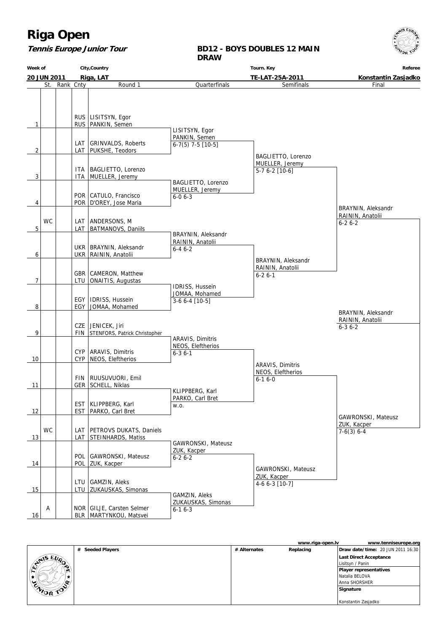### **Tennis Europe Junior Tour**

### **BD12 - BOYS DOUBLES 12 MAIN DRAW**

| City, Country<br>Week of |             |            |                                                                                 | Referee                                               |                                                         |                                                        |
|--------------------------|-------------|------------|---------------------------------------------------------------------------------|-------------------------------------------------------|---------------------------------------------------------|--------------------------------------------------------|
|                          | 20 JUN 2011 |            | Riga, LAT                                                                       |                                                       | TE-LAT-25A-2011                                         | Konstantin Zasjadko                                    |
|                          | St.         | Rank Cnty  | Round 1                                                                         | Quarterfinals                                         | Semifinals                                              | Final                                                  |
| 1                        |             |            | RUS   LISITSYN, Egor<br>RUS   PANKIN, Semen                                     |                                                       |                                                         |                                                        |
|                          |             |            |                                                                                 | LISITSYN, Egor                                        |                                                         |                                                        |
| 2                        |             | LAT        | <b>GRINVALDS, Roberts</b><br>LAT   PUKSHE, Teodors                              | PANKIN, Semen<br>$6-7(5)$ 7-5 [10-5]                  |                                                         |                                                        |
| 3                        |             | ITA<br>ITA | BAGLIETTO, Lorenzo<br>MUELLER, Jeremy                                           |                                                       | BAGLIETTO, Lorenzo<br>MUELLER, Jeremy<br>5-7 6-2 [10-6] |                                                        |
|                          |             |            | POR CATULO, Francisco                                                           | BAGLIETTO, Lorenzo<br>MUELLER, Jeremy<br>$6 - 06 - 3$ |                                                         |                                                        |
| 4                        | <b>WC</b>   |            | POR   D'OREY, Jose Maria<br>LAT ANDERSONS, M                                    |                                                       |                                                         | BRAYNIN, Aleksandr<br>RAININ, Anatolii<br>$6 - 26 - 2$ |
| 5                        |             | LAT        | <b>BATMANOVS, Daniils</b>                                                       | BRAYNIN, Aleksandr<br>RAININ, Anatolii                |                                                         |                                                        |
|                          |             |            | UKR   BRAYNIN, Aleksandr<br>UKR   RAININ, Anatolii                              | $6 - 46 - 2$                                          |                                                         |                                                        |
| 6                        |             |            | GBR   CAMERON, Matthew                                                          |                                                       | BRAYNIN, Aleksandr<br>RAININ, Anatolii<br>$6 - 26 - 1$  |                                                        |
| 7                        |             | LTU        | ONAITIS, Augustas                                                               |                                                       |                                                         |                                                        |
|                          |             |            | EGY   IDRISS, Hussein                                                           | IDRISS, Hussein<br>JOMAA, Mohamed<br>3-6 6-4 [10-5]   |                                                         |                                                        |
| 8                        |             |            | EGY   JOMAA, Mohamed<br>CZE JENICEK, Jiri                                       |                                                       |                                                         | BRAYNIN, Aleksandr<br>RAININ, Anatolii                 |
| 9                        |             | FIN        | STENFORS, Patrick Christopher                                                   |                                                       |                                                         | $6 - 36 - 2$                                           |
|                          |             |            | CYP   ARAVIS, Dimitris                                                          | ARAVIS, Dimitris<br>NEOS, Eleftherios<br>$6 - 36 - 1$ |                                                         |                                                        |
| 10                       |             | <b>CYP</b> | NEOS, Eleftherios                                                               |                                                       | ARAVIS, Dimitris<br>NEOS, Eleftherios                   |                                                        |
| 11                       |             |            | FIN   RUUSUVUORI, Emil<br>GER SCHELL, Niklas                                    |                                                       | $6 - 16 - 0$                                            |                                                        |
|                          |             | <b>EST</b> | KLIPPBERG, Karl                                                                 | KLIPPBERG, Karl<br>PARKO, Carl Bret<br>W.O.           |                                                         |                                                        |
| 12                       |             | <b>EST</b> | PARKO, Carl Bret                                                                |                                                       |                                                         | GAWRONSKI, Mateusz<br>ZUK, Kacper                      |
| 13                       | <b>WC</b>   | LAT        | LAT   PETROVS DUKATS, Daniels<br>STEINHARDS, Matiss                             | GAWRONSKI, Mateusz                                    |                                                         | $7-6(3) 6-4$                                           |
| 14                       |             | <b>POL</b> | POL GAWRONSKI, Mateusz<br><b>ZUK, Kacper</b>                                    | ZUK, Kacper<br>$6 - 26 - 2$                           |                                                         |                                                        |
|                          |             | LTU        | GAMZIN, Aleks                                                                   |                                                       | GAWRONSKI, Mateusz<br>ZUK, Kacper<br>4-6 6-3 [10-7]     |                                                        |
| 15<br>16                 | Α           |            | LTU ZUKAUSKAS, Simonas<br>NOR GILJE, Carsten Selmer<br>BLR   MARTYNKOU, Matsvei | GAMZIN, Aleks<br>ZUKAUSKAS, Simonas<br>$6 - 16 - 3$   |                                                         |                                                        |

|                               |                            |              | www.riga-open.lv | www.tenniseurope.org              |
|-------------------------------|----------------------------|--------------|------------------|-----------------------------------|
|                               | <b>Seeded Players</b><br># | # Alternates | Replacing        | Draw date/time: 20 JUN 2011 16:30 |
| $E_{U_{\Omega}}$<br>$Ar^{15}$ |                            |              |                  | <b>Last Direct Acceptance</b>     |
|                               |                            |              |                  | Lisitsyn / Panin                  |
| ∼<br>$\mathbf{u}$             |                            |              |                  | <b>Player representatives</b>     |
|                               |                            |              |                  | Natalia BELOVA                    |
| Q.<br>ર્ન્ટ                   |                            |              |                  | Anna SHORSHER                     |
| <b>MORTO</b>                  |                            |              |                  | Signature                         |
|                               |                            |              |                  |                                   |
|                               |                            |              |                  | Konstantin Zasjadko               |